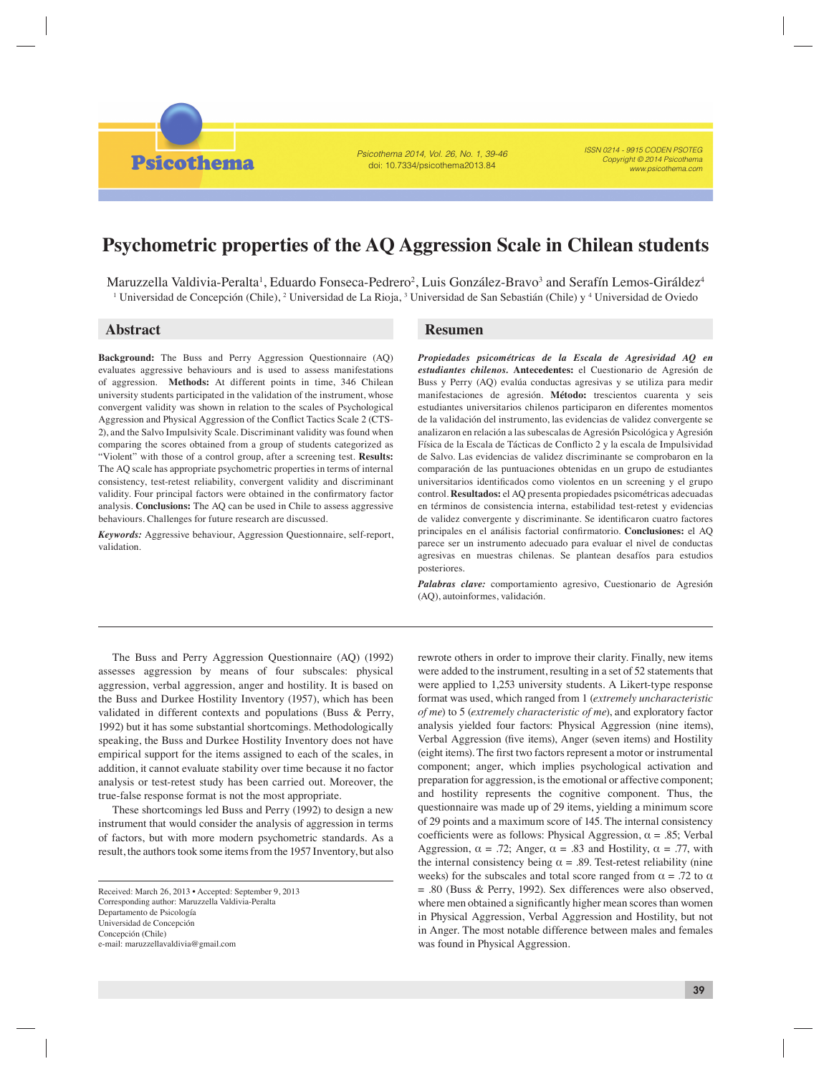**Psicothema** 

Psicothema 2014, Vol. 26, No. 1, 39-46 doi: 10.7334/psicothema2013.84

ISSN 0214 - 9915 CODEN PSOTEG Copyright © 2014 Psicothema www.psicothema.com

# **Psychometric properties of the AQ Aggression Scale in Chilean students**

Maruzzella Valdivia-Peralta<sup>1</sup>, Eduardo Fonseca-Pedrero<sup>2</sup>, Luis González-Bravo<sup>3</sup> and Serafín Lemos-Giráldez<sup>4</sup> <sup>1</sup> Universidad de Concepción (Chile), <sup>2</sup> Universidad de La Rioja, <sup>3</sup> Universidad de San Sebastián (Chile) y <sup>4</sup> Universidad de Oviedo

**Background:** The Buss and Perry Aggression Questionnaire (AQ) evaluates aggressive behaviours and is used to assess manifestations of aggression. **Methods:** At different points in time, 346 Chilean university students participated in the validation of the instrument, whose convergent validity was shown in relation to the scales of Psychological Aggression and Physical Aggression of the Conflict Tactics Scale 2 (CTS-2), and the Salvo Impulsivity Scale. Discriminant validity was found when comparing the scores obtained from a group of students categorized as "Violent" with those of a control group, after a screening test. **Results:**  The AQ scale has appropriate psychometric properties in terms of internal consistency, test-retest reliability, convergent validity and discriminant validity. Four principal factors were obtained in the confirmatory factor analysis. **Conclusions:** The AQ can be used in Chile to assess aggressive behaviours. Challenges for future research are discussed.

*Keywords:* Aggressive behaviour, Aggression Questionnaire, self-report, validation.

## **Abstract Resumen**

*Propiedades psicométricas de la Escala de Agresividad AQ en estudiantes chilenos.* **Antecedentes:** el Cuestionario de Agresión de Buss y Perry (AQ) evalúa conductas agresivas y se utiliza para medir manifestaciones de agresión. **Método:** trescientos cuarenta y seis estudiantes universitarios chilenos participaron en diferentes momentos de la validación del instrumento, las evidencias de validez convergente se analizaron en relación a las subescalas de Agresión Psicológica y Agresión Física de la Escala de Tácticas de Conflicto 2 y la escala de Impulsividad de Salvo. Las evidencias de validez discriminante se comprobaron en la comparación de las puntuaciones obtenidas en un grupo de estudiantes universitarios identificados como violentos en un screening y el grupo control. **Resultados:** el AQ presenta propiedades psicométricas adecuadas en términos de consistencia interna, estabilidad test-retest y evidencias de validez convergente y discriminante. Se identificaron cuatro factores principales en el análisis factorial confirmatorio. Conclusiones: el AQ parece ser un instrumento adecuado para evaluar el nivel de conductas agresivas en muestras chilenas. Se plantean desafíos para estudios posteriores.

*Palabras clave:* comportamiento agresivo, Cuestionario de Agresión (AQ), autoinformes, validación.

The Buss and Perry Aggression Questionnaire (AQ) (1992) assesses aggression by means of four subscales: physical aggression, verbal aggression, anger and hostility. It is based on the Buss and Durkee Hostility Inventory (1957), which has been validated in different contexts and populations (Buss & Perry, 1992) but it has some substantial shortcomings. Methodologically speaking, the Buss and Durkee Hostility Inventory does not have empirical support for the items assigned to each of the scales, in addition, it cannot evaluate stability over time because it no factor analysis or test-retest study has been carried out. Moreover, the true-false response format is not the most appropriate.

These shortcomings led Buss and Perry (1992) to design a new instrument that would consider the analysis of aggression in terms of factors, but with more modern psychometric standards. As a result, the authors took some items from the 1957 Inventory, but also

rewrote others in order to improve their clarity. Finally, new items were added to the instrument, resulting in a set of 52 statements that were applied to 1,253 university students. A Likert-type response format was used, which ranged from 1 (*extremely uncharacteristic of me*) to 5 (*extremely characteristic of me*), and exploratory factor analysis yielded four factors: Physical Aggression (nine items), Verbal Aggression (five items), Anger (seven items) and Hostility (eight items). The first two factors represent a motor or instrumental component; anger, which implies psychological activation and preparation for aggression, is the emotional or affective component; and hostility represents the cognitive component. Thus, the questionnaire was made up of 29 items, yielding a minimum score of 29 points and a maximum score of 145. The internal consistency coefficients were as follows: Physical Aggression,  $\alpha = .85$ ; Verbal Aggression,  $\alpha = .72$ ; Anger,  $\alpha = .83$  and Hostility,  $\alpha = .77$ , with the internal consistency being  $\alpha = .89$ . Test-retest reliability (nine weeks) for the subscales and total score ranged from  $\alpha = .72$  to  $\alpha$ = .80 (Buss & Perry, 1992). Sex differences were also observed, where men obtained a significantly higher mean scores than women in Physical Aggression, Verbal Aggression and Hostility, but not in Anger. The most notable difference between males and females was found in Physical Aggression.

Received: March 26, 2013 • Accepted: September 9, 2013 Corresponding author: Maruzzella Valdivia-Peralta Departamento de Psicología Universidad de Concepción Concepción (Chile) e-mail: maruzzellavaldivia@gmail.com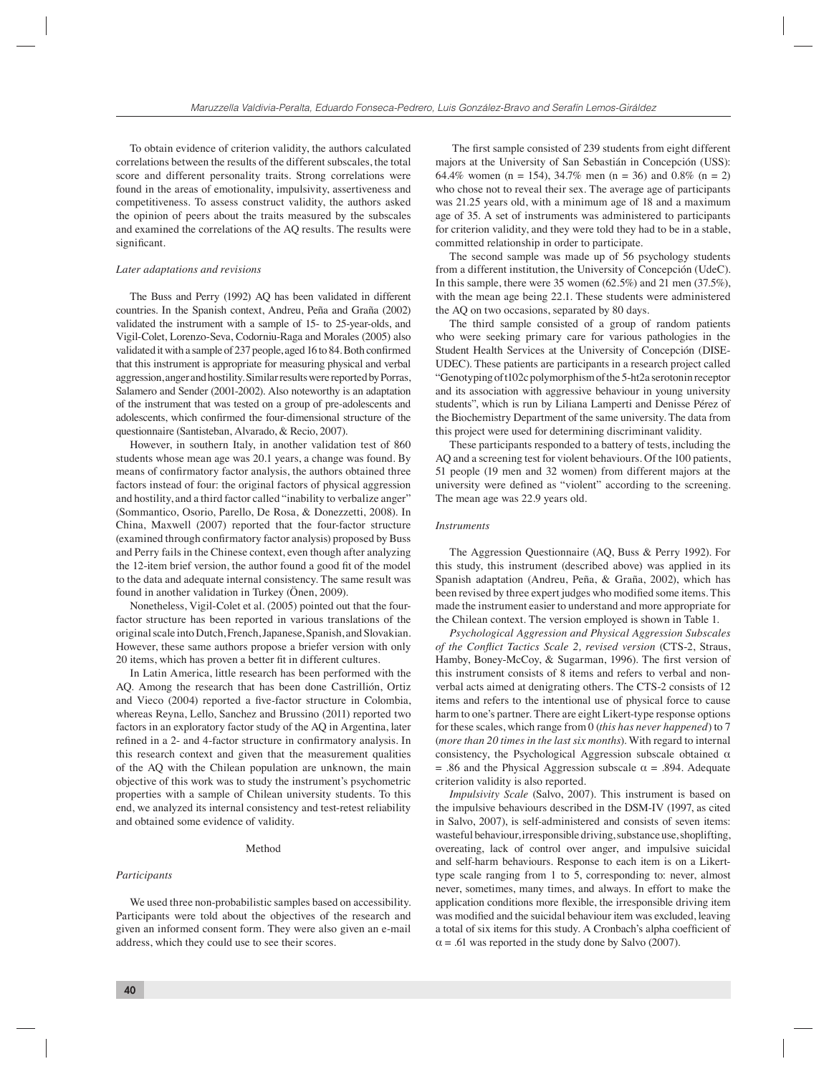To obtain evidence of criterion validity, the authors calculated correlations between the results of the different subscales, the total score and different personality traits. Strong correlations were found in the areas of emotionality, impulsivity, assertiveness and competitiveness. To assess construct validity, the authors asked the opinion of peers about the traits measured by the subscales and examined the correlations of the AQ results. The results were significant.

#### *Later adaptations and revisions*

The Buss and Perry (1992) AQ has been validated in different countries. In the Spanish context, Andreu, Peña and Graña (2002) validated the instrument with a sample of 15- to 25-year-olds, and Vigil-Colet, Lorenzo-Seva, Codorniu-Raga and Morales (2005) also validated it with a sample of 237 people, aged 16 to 84. Both confirmed that this instrument is appropriate for measuring physical and verbal aggression, anger and hostility. Similar results were reported by Porras, Salamero and Sender (2001-2002). Also noteworthy is an adaptation of the instrument that was tested on a group of pre-adolescents and adolescents, which confirmed the four-dimensional structure of the questionnaire (Santisteban, Alvarado, & Recio, 2007).

However, in southern Italy, in another validation test of 860 students whose mean age was 20.1 years, a change was found. By means of confirmatory factor analysis, the authors obtained three factors instead of four: the original factors of physical aggression and hostility, and a third factor called "inability to verbalize anger" (Sommantico, Osorio, Parello, De Rosa, & Donezzetti, 2008). In China, Maxwell (2007) reported that the four-factor structure (examined through confirmatory factor analysis) proposed by Buss and Perry fails in the Chinese context, even though after analyzing the 12-item brief version, the author found a good fit of the model to the data and adequate internal consistency. The same result was found in another validation in Turkey (Önen, 2009).

Nonetheless, Vigil-Colet et al. (2005) pointed out that the fourfactor structure has been reported in various translations of the original scale into Dutch, French, Japanese, Spanish, and Slovakian. However, these same authors propose a briefer version with only 20 items, which has proven a better fit in different cultures.

In Latin America, little research has been performed with the AQ. Among the research that has been done Castrillión, Ortiz and Vieco (2004) reported a five-factor structure in Colombia, whereas Reyna, Lello, Sanchez and Brussino (2011) reported two factors in an exploratory factor study of the AQ in Argentina, later refined in a 2- and 4-factor structure in confirmatory analysis. In this research context and given that the measurement qualities of the AQ with the Chilean population are unknown, the main objective of this work was to study the instrument's psychometric properties with a sample of Chilean university students. To this end, we analyzed its internal consistency and test-retest reliability and obtained some evidence of validity.

#### Method

#### *Participants*

We used three non-probabilistic samples based on accessibility. Participants were told about the objectives of the research and given an informed consent form. They were also given an e-mail address, which they could use to see their scores.

The first sample consisted of 239 students from eight different majors at the University of San Sebastián in Concepción (USS): 64.4% women (n = 154), 34.7% men (n = 36) and 0.8% (n = 2) who chose not to reveal their sex. The average age of participants was 21.25 years old, with a minimum age of 18 and a maximum age of 35. A set of instruments was administered to participants for criterion validity, and they were told they had to be in a stable, committed relationship in order to participate.

The second sample was made up of 56 psychology students from a different institution, the University of Concepción (UdeC). In this sample, there were 35 women (62.5%) and 21 men (37.5%), with the mean age being 22.1. These students were administered the AQ on two occasions, separated by 80 days.

The third sample consisted of a group of random patients who were seeking primary care for various pathologies in the Student Health Services at the University of Concepción (DISE-UDEC). These patients are participants in a research project called "Genotyping of t102c polymorphism of the 5-ht2a serotonin receptor and its association with aggressive behaviour in young university students", which is run by Liliana Lamperti and Denisse Pérez of the Biochemistry Department of the same university. The data from this project were used for determining discriminant validity.

These participants responded to a battery of tests, including the AQ and a screening test for violent behaviours. Of the 100 patients, 51 people (19 men and 32 women) from different majors at the university were defined as "violent" according to the screening. The mean age was 22.9 years old.

#### *Instruments*

The Aggression Questionnaire (AQ, Buss & Perry 1992). For this study, this instrument (described above) was applied in its Spanish adaptation (Andreu, Peña, & Graña, 2002), which has been revised by three expert judges who modified some items. This made the instrument easier to understand and more appropriate for the Chilean context. The version employed is shown in Table 1.

*Psychological Aggression and Physical Aggression Subscales of the Conflict Tactics Scale 2, revised version* (CTS-2, Straus, Hamby, Boney-McCoy, & Sugarman, 1996). The first version of this instrument consists of 8 items and refers to verbal and nonverbal acts aimed at denigrating others. The CTS-2 consists of 12 items and refers to the intentional use of physical force to cause harm to one's partner. There are eight Likert-type response options for these scales, which range from 0 (*this has never happened*) to 7 (*more than 20 times in the last six months*). With regard to internal consistency, the Psychological Aggression subscale obtained  $\alpha$ = .86 and the Physical Aggression subscale  $\alpha$  = .894. Adequate criterion validity is also reported.

*Impulsivity Scale* (Salvo, 2007). This instrument is based on the impulsive behaviours described in the DSM-IV (1997, as cited in Salvo, 2007), is self-administered and consists of seven items: wasteful behaviour, irresponsible driving, substance use, shoplifting, overeating, lack of control over anger, and impulsive suicidal and self-harm behaviours. Response to each item is on a Likerttype scale ranging from 1 to 5, corresponding to: never, almost never, sometimes, many times, and always. In effort to make the application conditions more flexible, the irresponsible driving item was modified and the suicidal behaviour item was excluded, leaving a total of six items for this study. A Cronbach's alpha coefficient of  $\alpha$  = .61 was reported in the study done by Salvo (2007).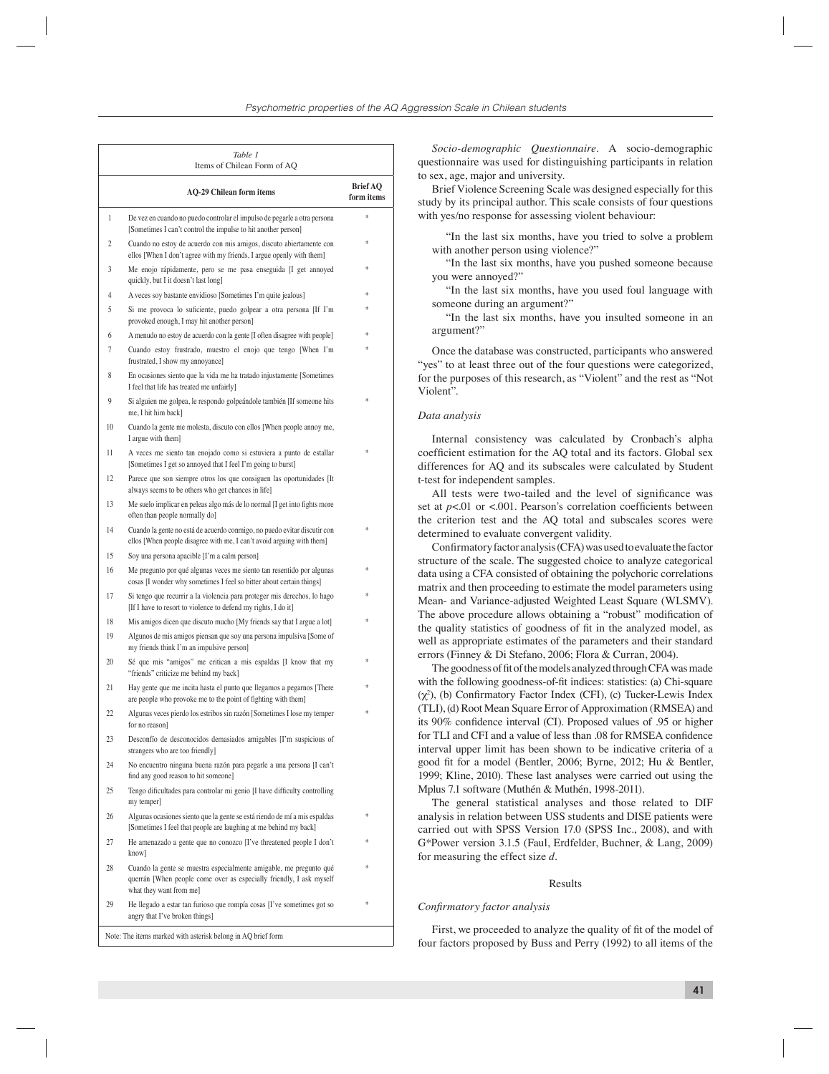| 1<br>2 | <b>AQ-29 Chilean form items</b>                                                                                                                                      | <b>Brief AQ</b><br>form items |
|--------|----------------------------------------------------------------------------------------------------------------------------------------------------------------------|-------------------------------|
|        |                                                                                                                                                                      |                               |
|        | De vez en cuando no puedo controlar el impulso de pegarle a otra persona<br>[Sometimes I can't control the impulse to hit another person]                            | ż                             |
|        | Cuando no estoy de acuerdo con mis amigos, discuto abiertamente con<br>ellos [When I don't agree with my friends, I argue openly with them]                          |                               |
| 3      | Me enojo rápidamente, pero se me pasa enseguida [I get annoyed<br>quickly, but I it doesn't last long]                                                               | ż.                            |
| 4      | A veces soy bastante envidioso [Sometimes I'm quite jealous]                                                                                                         | ź.                            |
| 5      | Si me provoca lo suficiente, puedo golpear a otra persona [If I'm<br>provoked enough, I may hit another person]                                                      |                               |
| 6      | A menudo no estoy de acuerdo con la gente [I often disagree with people]                                                                                             | ź.                            |
| 7      | Cuando estoy frustrado, muestro el enojo que tengo [When I'm<br>frustrated, I show my annoyance]                                                                     |                               |
| 8      | En ocasiones siento que la vida me ha tratado injustamente [Sometimes<br>I feel that life has treated me unfairly]                                                   |                               |
| 9      | Si alguien me golpea, le respondo golpeándole también [If someone hits<br>me. I hit him backl                                                                        | ź.                            |
| 10     | Cuando la gente me molesta, discuto con ellos [When people annoy me,<br>I argue with them]                                                                           |                               |
| 11     | A veces me siento tan enojado como si estuviera a punto de estallar<br>[Sometimes I get so annoyed that I feel I'm going to burst]                                   |                               |
| 12     | Parece que son siempre otros los que consiguen las oportunidades [It<br>always seems to be others who get chances in life]                                           |                               |
| 13     | Me suelo implicar en peleas algo más de lo normal [I get into fights more<br>often than people normally do]                                                          |                               |
| 14     | Cuando la gente no está de acuerdo conmigo, no puedo evitar discutir con<br>ellos [When people disagree with me, I can't avoid arguing with them]                    |                               |
| 15     | Soy una persona apacible [I'm a calm person]                                                                                                                         |                               |
| 16     | Me pregunto por qué algunas veces me siento tan resentido por algunas<br>cosas [I wonder why sometimes I feel so bitter about certain things]                        |                               |
| 17     | Si tengo que recurrir a la violencia para proteger mis derechos, lo hago<br>[If I have to resort to violence to defend my rights, I do it]                           |                               |
| 18     | Mis amigos dicen que discuto mucho [My friends say that I argue a lot]                                                                                               |                               |
| 19     | Algunos de mis amigos piensan que soy una persona impulsiva [Some of<br>my friends think I'm an impulsive person]                                                    |                               |
| 20     | Sé que mis "amigos" me critican a mis espaldas [I know that my<br>"friends" criticize me behind my back]                                                             |                               |
| 21     | Hay gente que me incita hasta el punto que llegamos a pegarnos [There<br>are people who provoke me to the point of fighting with them]                               |                               |
| 22     | Algunas veces pierdo los estribos sin razón [Sometimes I lose my temper<br>for no reason]                                                                            |                               |
| 23     | Desconfío de desconocidos demasiados amigables [I'm suspicious of<br>strangers who are too friendly]                                                                 |                               |
| 24     | No encuentro ninguna buena razón para pegarle a una persona [I can't<br>find any good reason to hit someone]                                                         |                               |
| 25     | Tengo dificultades para controlar mi genio [I have difficulty controlling<br>my temper]                                                                              |                               |
| 26     | Algunas ocasiones siento que la gente se está riendo de mí a mis espaldas<br>[Sometimes I feel that people are laughing at me behind my back]                        | ź.                            |
| 27     | He amenazado a gente que no conozco [I've threatened people I don't<br>know]                                                                                         | ź.                            |
| 28     | Cuando la gente se muestra especialmente amigable, me pregunto qué<br>querrán [When people come over as especially friendly, I ask myself<br>what they want from me] | \$                            |
| 29     | He llegado a estar tan furioso que rompía cosas [I've sometimes got so<br>angry that I've broken things]                                                             | 字                             |

*Socio-demographic Questionnaire.* A socio-demographic questionnaire was used for distinguishing participants in relation to sex, age, major and university.

Brief Violence Screening Scale was designed especially for this study by its principal author. This scale consists of four questions with yes/no response for assessing violent behaviour:

"In the last six months, have you tried to solve a problem with another person using violence?"

"In the last six months, have you pushed someone because you were annoyed?"

"In the last six months, have you used foul language with someone during an argument?"

"In the last six months, have you insulted someone in an argument?"

Once the database was constructed, participants who answered "yes" to at least three out of the four questions were categorized, for the purposes of this research, as "Violent" and the rest as "Not Violent".

### *Data analysis*

Internal consistency was calculated by Cronbach's alpha coefficient estimation for the AQ total and its factors. Global sex differences for AQ and its subscales were calculated by Student t-test for independent samples.

All tests were two-tailed and the level of significance was set at  $p$ <.01 or <.001. Pearson's correlation coefficients between the criterion test and the AQ total and subscales scores were determined to evaluate convergent validity.

Confirmatory factor analysis (CFA) was used to evaluate the factor structure of the scale. The suggested choice to analyze categorical data using a CFA consisted of obtaining the polychoric correlations matrix and then proceeding to estimate the model parameters using Mean- and Variance-adjusted Weighted Least Square (WLSMV). The above procedure allows obtaining a "robust" modification of the quality statistics of goodness of fit in the analyzed model, as well as appropriate estimates of the parameters and their standard errors (Finney & Di Stefano, 2006; Flora & Curran, 2004).

The goodness of fit of the models analyzed through CFA was made with the following goodness-of-fit indices: statistics: (a) Chi-square  $(\chi^2)$ , (b) Confirmatory Factor Index (CFI), (c) Tucker-Lewis Index (TLI), (d) Root Mean Square Error of Approximation (RMSEA) and its 90% confidence interval (CI). Proposed values of .95 or higher for TLI and CFI and a value of less than .08 for RMSEA confidence interval upper limit has been shown to be indicative criteria of a good fit for a model (Bentler, 2006; Byrne, 2012; Hu & Bentler, 1999; Kline, 2010). These last analyses were carried out using the Mplus 7.1 software (Muthén & Muthén, 1998-2011).

The general statistical analyses and those related to DIF analysis in relation between USS students and DISE patients were carried out with SPSS Version 17.0 (SPSS Inc., 2008), and with G\*Power version 3.1.5 (Faul, Erdfelder, Buchner, & Lang, 2009) for measuring the effect size *d*.

#### Results

#### *Confi rmatory factor analysis*

First, we proceeded to analyze the quality of fit of the model of four factors proposed by Buss and Perry (1992) to all items of the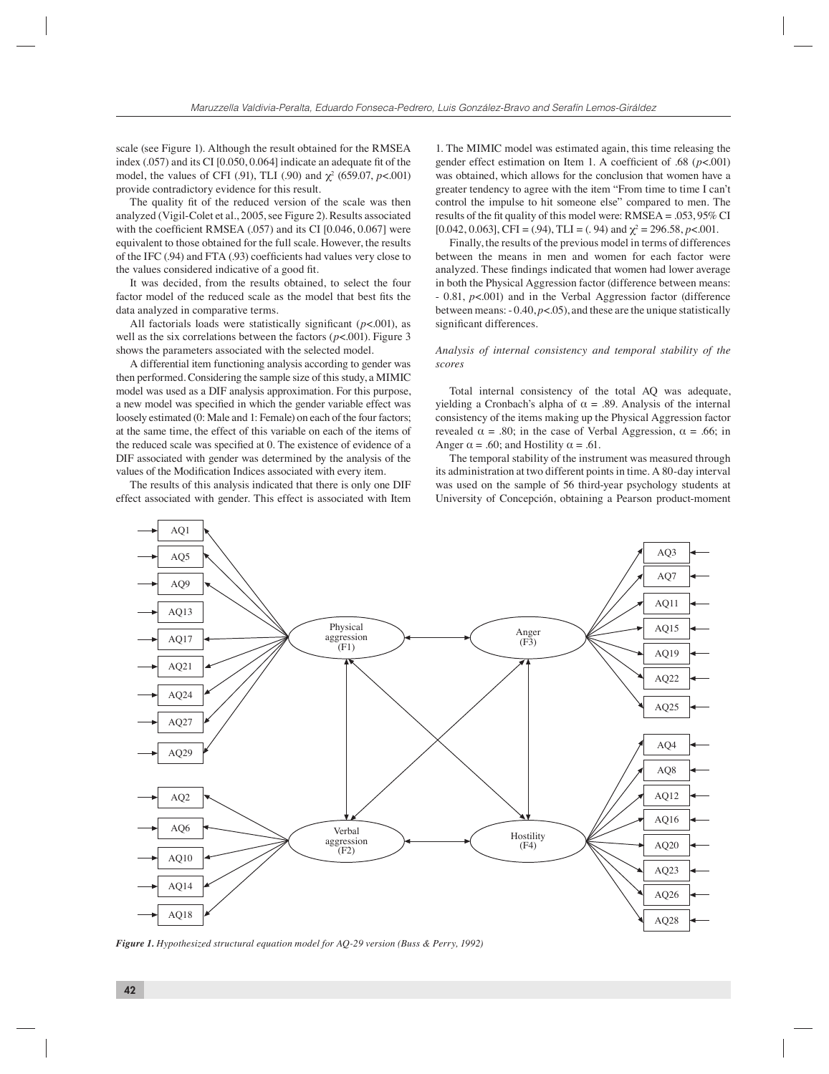scale (see Figure 1). Although the result obtained for the RMSEA index (.057) and its CI [0.050, 0.064] indicate an adequate fit of the model, the values of CFI (.91), TLI (.90) and  $\chi^2$  (659.07, *p*<.001) provide contradictory evidence for this result.

The quality fit of the reduced version of the scale was then analyzed (Vigil-Colet et al., 2005, see Figure 2). Results associated with the coefficient RMSEA  $(.057)$  and its CI  $[0.046, 0.067]$  were equivalent to those obtained for the full scale. However, the results of the IFC (.94) and FTA (.93) coefficients had values very close to the values considered indicative of a good fit.

It was decided, from the results obtained, to select the four factor model of the reduced scale as the model that best fits the data analyzed in comparative terms.

All factorials loads were statistically significant  $(p<.001)$ , as well as the six correlations between the factors (*p*<.001). Figure 3 shows the parameters associated with the selected model.

A differential item functioning analysis according to gender was then performed. Considering the sample size of this study, a MIMIC model was used as a DIF analysis approximation. For this purpose, a new model was specified in which the gender variable effect was loosely estimated (0: Male and 1: Female) on each of the four factors; at the same time, the effect of this variable on each of the items of the reduced scale was specified at 0. The existence of evidence of a DIF associated with gender was determined by the analysis of the values of the Modification Indices associated with every item.

The results of this analysis indicated that there is only one DIF effect associated with gender. This effect is associated with Item

1. The MIMIC model was estimated again, this time releasing the gender effect estimation on Item 1. A coefficient of .68 ( $p$ <.001) was obtained, which allows for the conclusion that women have a greater tendency to agree with the item "From time to time I can't control the impulse to hit someone else" compared to men. The results of the fit quality of this model were:  $RMSEA = 0.053$ , 95% CI [0.042, 0.063], CFI = (.94), TLI = (.94) and  $\chi^2$  = 296.58, *p*<.001.

Finally, the results of the previous model in terms of differences between the means in men and women for each factor were analyzed. These findings indicated that women had lower average in both the Physical Aggression factor (difference between means: - 0.81, *p*<.001) and in the Verbal Aggression factor (difference between means: - 0.40, *p*<.05), and these are the unique statistically significant differences.

# *Analysis of internal consistency and temporal stability of the scores*

Total internal consistency of the total AQ was adequate, yielding a Cronbach's alpha of  $\alpha = .89$ . Analysis of the internal consistency of the items making up the Physical Aggression factor revealed  $\alpha = .80$ ; in the case of Verbal Aggression,  $\alpha = .66$ ; in Anger  $\alpha$  = .60; and Hostility  $\alpha$  = .61.

The temporal stability of the instrument was measured through its administration at two different points in time. A 80-day interval was used on the sample of 56 third-year psychology students at University of Concepción, obtaining a Pearson product-moment



*Figure 1. Hypothesized structural equation model for AQ-29 version (Buss & Perry, 1992)*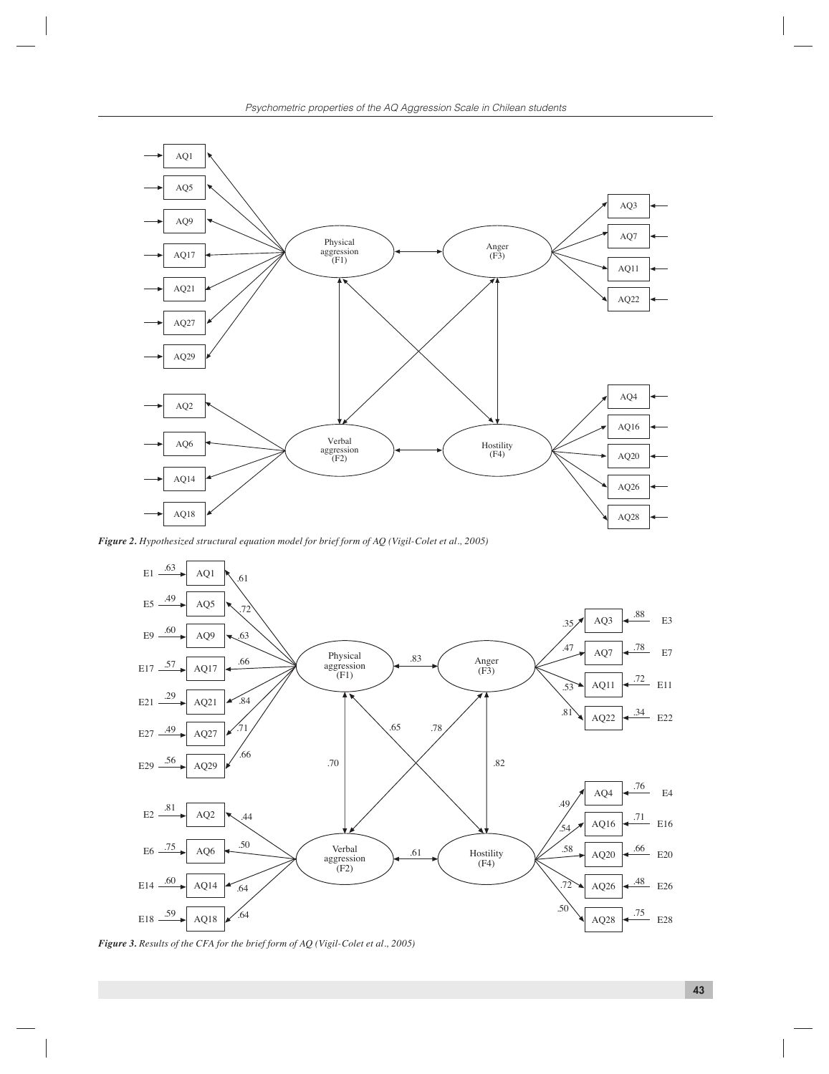

*Figure 2. Hypothesized structural equation model for brief form of AQ (Vigil-Colet et al., 2005)*



*Figure 3. Results of the CFA for the brief form of AQ (Vigil-Colet et al., 2005)*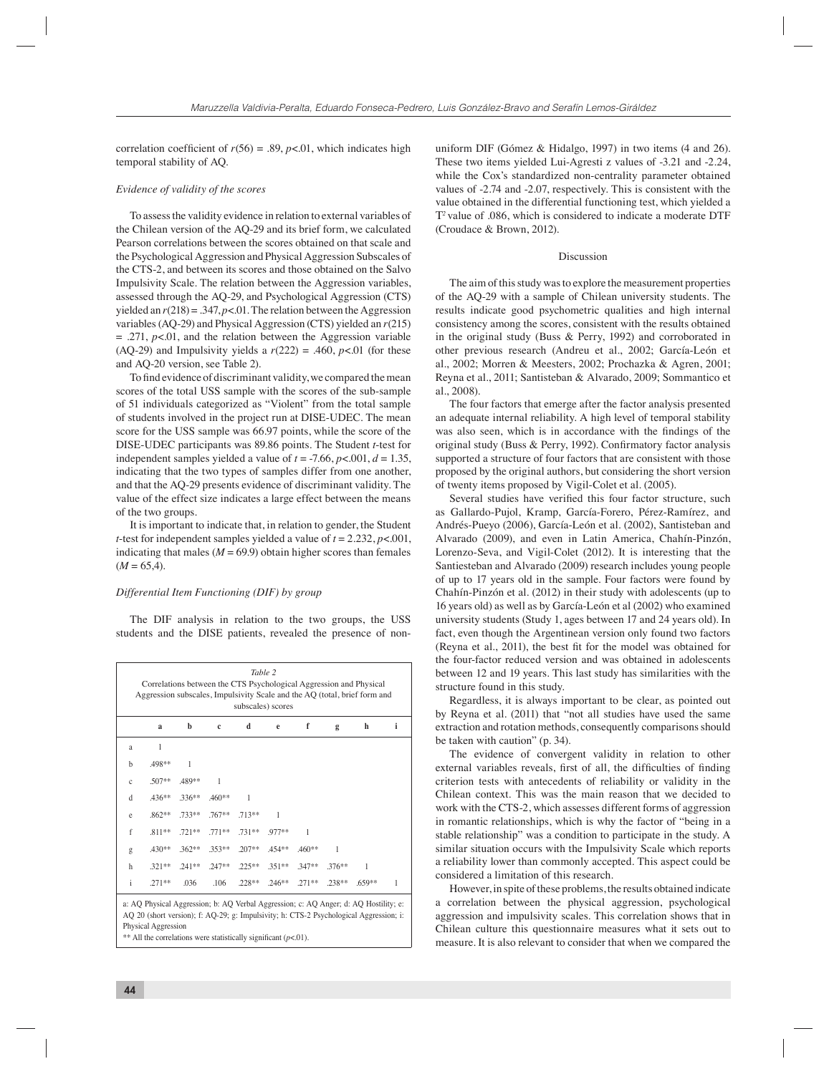correlation coefficient of  $r(56) = .89$ ,  $p < .01$ , which indicates high temporal stability of AQ.

#### *Evidence of validity of the scores*

To assess the validity evidence in relation to external variables of the Chilean version of the AQ-29 and its brief form, we calculated Pearson correlations between the scores obtained on that scale and the Psychological Aggression and Physical Aggression Subscales of the CTS-2, and between its scores and those obtained on the Salvo Impulsivity Scale. The relation between the Aggression variables, assessed through the AQ-29, and Psychological Aggression (CTS) yielded an  $r(218) = .347$ ,  $p < .01$ . The relation between the Aggression variables (AQ-29) and Physical Aggression (CTS) yielded an *r*(215)  $= .271$ ,  $p < .01$ , and the relation between the Aggression variable (AQ-29) and Impulsivity yields a  $r(222) = .460$ ,  $p<.01$  (for these and AQ-20 version, see Table 2).

To find evidence of discriminant validity, we compared the mean scores of the total USS sample with the scores of the sub-sample of 51 individuals categorized as "Violent" from the total sample of students involved in the project run at DISE-UDEC. The mean score for the USS sample was 66.97 points, while the score of the DISE-UDEC participants was 89.86 points. The Student *t*-test for independent samples yielded a value of  $t = -7.66$ ,  $p < .001$ ,  $d = 1.35$ , indicating that the two types of samples differ from one another, and that the AQ-29 presents evidence of discriminant validity. The value of the effect size indicates a large effect between the means of the two groups.

It is important to indicate that, in relation to gender, the Student *t*-test for independent samples yielded a value of *t* = 2.232, *p*<.001, indicating that males  $(M = 69.9)$  obtain higher scores than females  $(M = 65, 4)$ .

#### *Differential Item Functioning (DIF) by group*

The DIF analysis in relation to the two groups, the USS students and the DISE patients, revealed the presence of non-

| Table 2<br>Correlations between the CTS Psychological Aggression and Physical<br>Aggression subscales, Impulsivity Scale and the AQ (total, brief form and |                                                                                                                                                                                                                                                                             |          |             |          |          |          |          |          |   |  |  |  |
|------------------------------------------------------------------------------------------------------------------------------------------------------------|-----------------------------------------------------------------------------------------------------------------------------------------------------------------------------------------------------------------------------------------------------------------------------|----------|-------------|----------|----------|----------|----------|----------|---|--|--|--|
| subscales) scores                                                                                                                                          |                                                                                                                                                                                                                                                                             |          |             |          |          |          |          |          |   |  |  |  |
|                                                                                                                                                            | a                                                                                                                                                                                                                                                                           | b        | $\mathbf c$ | d        | e        | f        | g        | h        | i |  |  |  |
| a                                                                                                                                                          | 1                                                                                                                                                                                                                                                                           |          |             |          |          |          |          |          |   |  |  |  |
| h                                                                                                                                                          | .498**                                                                                                                                                                                                                                                                      | 1        |             |          |          |          |          |          |   |  |  |  |
| $\mathbf c$                                                                                                                                                | $.507**$                                                                                                                                                                                                                                                                    | .489**   | 1           |          |          |          |          |          |   |  |  |  |
| d                                                                                                                                                          | $.436**$                                                                                                                                                                                                                                                                    | $.336**$ | $.460**$    | 1        |          |          |          |          |   |  |  |  |
| e                                                                                                                                                          | $.862**$                                                                                                                                                                                                                                                                    | .733**   | $.767**$    | $.713**$ | 1        |          |          |          |   |  |  |  |
| f                                                                                                                                                          | $.811**$                                                                                                                                                                                                                                                                    | $.721**$ | $.771**$    | $.731**$ | $.977**$ | 1        |          |          |   |  |  |  |
| g                                                                                                                                                          | $430**$                                                                                                                                                                                                                                                                     | $.362**$ | 353**       | $.207**$ | $.454**$ | $.460**$ | 1        |          |   |  |  |  |
| h                                                                                                                                                          | $.321**$                                                                                                                                                                                                                                                                    | $.241**$ | $.247**$    | $.225**$ | $.351**$ | $.347**$ | $.376**$ | 1        |   |  |  |  |
| i                                                                                                                                                          | $.271**$                                                                                                                                                                                                                                                                    | .036     | .106        | $.228**$ | $.246**$ | $.271**$ | .238**   | $.659**$ | 1 |  |  |  |
|                                                                                                                                                            | a: AQ Physical Aggression; b: AQ Verbal Aggression; c: AQ Anger; d: AQ Hostility; e:<br>AQ 20 (short version); f: AQ-29; g: Impulsivity; h: CTS-2 Psychological Aggression; i:<br>Physical Aggression<br>** All the correlations were statistically significant $(p<.01)$ . |          |             |          |          |          |          |          |   |  |  |  |

uniform DIF (Gómez & Hidalgo, 1997) in two items (4 and 26). These two items yielded Lui-Agresti z values of -3.21 and -2.24, while the Cox's standardized non-centrality parameter obtained values of -2.74 and -2.07, respectively. This is consistent with the value obtained in the differential functioning test, which yielded a Τ*<sup>2</sup>*value of .086, which is considered to indicate a moderate DTF (Croudace & Brown, 2012).

#### Discussion

The aim of this study was to explore the measurement properties of the AQ-29 with a sample of Chilean university students. The results indicate good psychometric qualities and high internal consistency among the scores, consistent with the results obtained in the original study (Buss & Perry, 1992) and corroborated in other previous research (Andreu et al., 2002; García-León et al., 2002; Morren & Meesters, 2002; Prochazka & Agren, 2001; Reyna et al., 2011; Santisteban & Alvarado, 2009; Sommantico et al., 2008).

The four factors that emerge after the factor analysis presented an adequate internal reliability. A high level of temporal stability was also seen, which is in accordance with the findings of the original study (Buss & Perry, 1992). Confirmatory factor analysis supported a structure of four factors that are consistent with those proposed by the original authors, but considering the short version of twenty items proposed by Vigil-Colet et al. (2005).

Several studies have verified this four factor structure, such as Gallardo-Pujol, Kramp, García-Forero, Pérez-Ramírez, and Andrés-Pueyo (2006), García-León et al. (2002), Santisteban and Alvarado (2009), and even in Latin America, Chahín-Pinzón, Lorenzo-Seva, and Vigil-Colet (2012). It is interesting that the Santiesteban and Alvarado (2009) research includes young people of up to 17 years old in the sample. Four factors were found by Chahín-Pinzón et al. (2012) in their study with adolescents (up to 16 years old) as well as by García-León et al (2002) who examined university students (Study 1, ages between 17 and 24 years old). In fact, even though the Argentinean version only found two factors (Reyna et al., 2011), the best fit for the model was obtained for the four-factor reduced version and was obtained in adolescents between 12 and 19 years. This last study has similarities with the structure found in this study.

Regardless, it is always important to be clear, as pointed out by Reyna et al. (2011) that "not all studies have used the same extraction and rotation methods, consequently comparisons should be taken with caution" (p. 34).

The evidence of convergent validity in relation to other external variables reveals, first of all, the difficulties of finding criterion tests with antecedents of reliability or validity in the Chilean context. This was the main reason that we decided to work with the CTS-2, which assesses different forms of aggression in romantic relationships, which is why the factor of "being in a stable relationship" was a condition to participate in the study. A similar situation occurs with the Impulsivity Scale which reports a reliability lower than commonly accepted. This aspect could be considered a limitation of this research.

However, in spite of these problems, the results obtained indicate a correlation between the physical aggression, psychological aggression and impulsivity scales. This correlation shows that in Chilean culture this questionnaire measures what it sets out to measure. It is also relevant to consider that when we compared the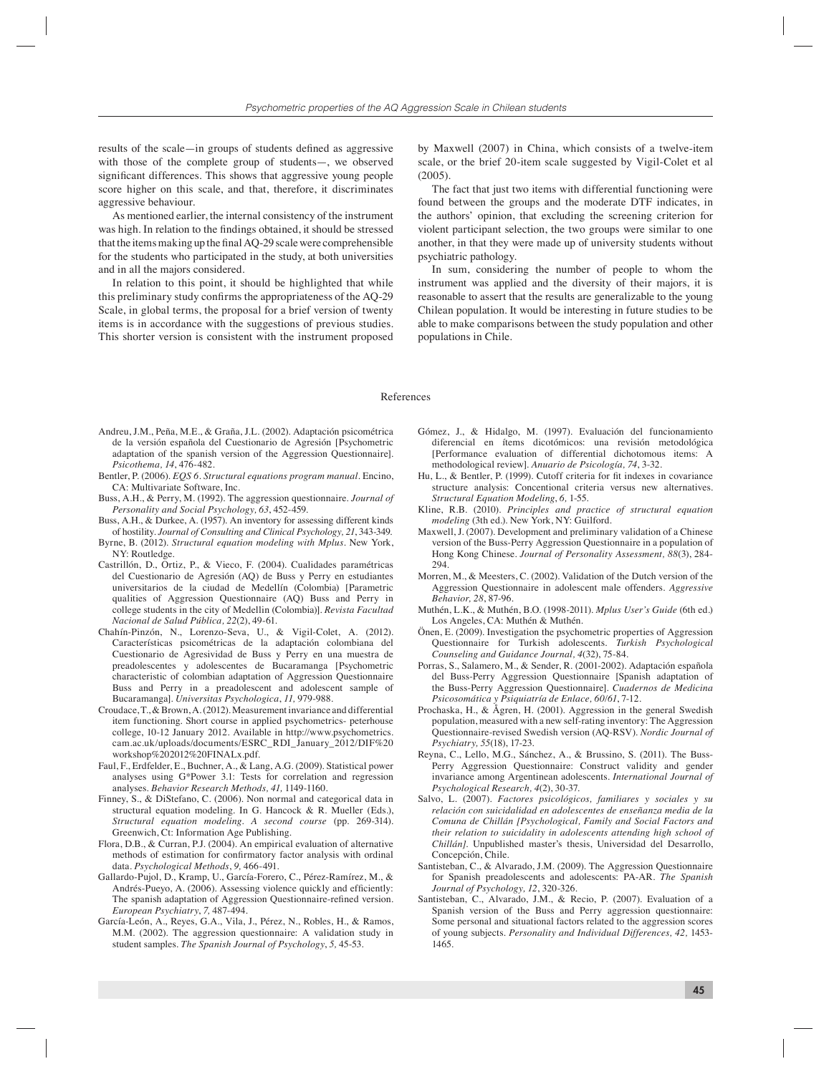results of the scale—in groups of students defined as aggressive with those of the complete group of students—, we observed significant differences. This shows that aggressive young people score higher on this scale, and that, therefore, it discriminates aggressive behaviour.

As mentioned earlier, the internal consistency of the instrument was high. In relation to the findings obtained, it should be stressed that the items making up the final  $AO-29$  scale were comprehensible for the students who participated in the study, at both universities and in all the majors considered.

In relation to this point, it should be highlighted that while this preliminary study confirms the appropriateness of the AQ-29 Scale, in global terms, the proposal for a brief version of twenty items is in accordance with the suggestions of previous studies. This shorter version is consistent with the instrument proposed

by Maxwell (2007) in China, which consists of a twelve-item scale, or the brief 20-item scale suggested by Vigil-Colet et al (2005).

The fact that just two items with differential functioning were found between the groups and the moderate DTF indicates, in the authors' opinion, that excluding the screening criterion for violent participant selection, the two groups were similar to one another, in that they were made up of university students without psychiatric pathology.

In sum, considering the number of people to whom the instrument was applied and the diversity of their majors, it is reasonable to assert that the results are generalizable to the young Chilean population. It would be interesting in future studies to be able to make comparisons between the study population and other populations in Chile.

#### References

- Andreu, J.M., Peña, M.E., & Graña, J.L. (2002). Adaptación psicométrica de la versión española del Cuestionario de Agresión [Psychometric adaptation of the spanish version of the Aggression Questionnaire]. *Psicothema, 14*, 476-482.
- Bentler, P. (2006). *EQS 6. Structural equations program manual.* Encino, CA: Multivariate Software, Inc.
- Buss, A.H., & Perry, M. (1992). The aggression questionnaire. *Journal of Personality and Social Psychology, 63*, 452-459.
- Buss, A.H., & Durkee, A. (1957). An inventory for assessing different kinds of hostility. *Journal of Consulting and Clinical Psychology, 21*, 343-349.
- Byrne, B. (2012). *Structural equation modeling with Mplus.* New York, NY: Routledge.
- Castrillón, D., Ortiz, P., & Vieco, F. (2004). Cualidades paramétricas del Cuestionario de Agresión (AQ) de Buss y Perry en estudiantes universitarios de la ciudad de Medellín (Colombia) [Parametric qualities of Aggression Questionnaire (AQ) Buss and Perry in college students in the city of Medellin (Colombia)]. *Revista Facultad Nacional de Salud Pública, 22*(2), 49-61.
- Chahín-Pinzón, N., Lorenzo-Seva, U., & Vigil-Colet, A. (2012). Características psicométricas de la adaptación colombiana del Cuestionario de Agresividad de Buss y Perry en una muestra de preadolescentes y adolescentes de Bucaramanga [Psychometric characteristic of colombian adaptation of Aggression Questionnaire Buss and Perry in a preadolescent and adolescent sample of Bucaramanga]. *Universitas Psychologica*, *11,* 979-988.
- Croudace, T., & Brown, A. (2012). Measurement invariance and differential item functioning. Short course in applied psychometrics- peterhouse college, 10-12 January 2012. Available in http://www.psychometrics. cam.ac.uk/uploads/documents/ESRC\_RDI\_January\_2012/DIF%20 workshop%202012%20FINALx.pdf.
- Faul, F., Erdfelder, E., Buchner, A., & Lang, A.G. (2009). Statistical power analyses using G\*Power 3.1: Tests for correlation and regression analyses. *Behavior Research Methods, 41,* 1149-1160.
- Finney, S., & DiStefano, C. (2006). Non normal and categorical data in structural equation modeling. In G. Hancock & R. Mueller (Eds.), *Structural equation modeling. A second course* (pp. 269-314). Greenwich, Ct: Information Age Publishing.
- Flora, D.B., & Curran, P.J. (2004). An empirical evaluation of alternative methods of estimation for confirmatory factor analysis with ordinal data. *Psychological Methods*, *9,* 466-491.
- Gallardo-Pujol, D., Kramp, U., García-Forero, C., Pérez-Ramírez, M., & Andrés-Pueyo, A. (2006). Assessing violence quickly and efficiently: The spanish adaptation of Aggression Questionnaire-refined version. *European Psychiatry*, *7,* 487-494.
- García-León, A., Reyes, G.A., Vila, J., Pérez, N., Robles, H., & Ramos, M.M. (2002). The aggression questionnaire: A validation study in student samples. *The Spanish Journal of Psychology*, *5,* 45-53.
- Gómez, J., & Hidalgo, M. (1997). Evaluación del funcionamiento diferencial en ítems dicotómicos: una revisión metodológica [Performance evaluation of differential dichotomous items: A methodological review]. *Anuario de Psicología, 74*, 3-32.
- Hu, L., & Bentler, P. (1999). Cutoff criteria for fit indexes in covariance structure analysis: Concentional criteria versus new alternatives. *Structural Equation Modeling*, *6,* 1-55.
- Kline, R.B. (2010). *Principles and practice of structural equation modeling* (3th ed.). New York, NY: Guilford.
- Maxwell, J. (2007). Development and preliminary validation of a Chinese version of the Buss-Perry Aggression Questionnaire in a population of Hong Kong Chinese*. Journal of Personality Assessment, 88*(3), 284- 294.
- Morren, M., & Meesters, C. (2002). Validation of the Dutch version of the Aggression Questionnaire in adolescent male offenders. *Aggressive Behavior, 28*, 87-96.
- Muthén, L.K., & Muthén, B.O. (1998-2011). *Mplus User's Guide* (6th ed.) Los Angeles, CA: Muthén & Muthén.
- Önen, E. (2009). Investigation the psychometric properties of Aggression Questionnaire for Turkish adolescents. *Turkish Psychological Counseling and Guidance Journal, 4*(32), 75-84.
- Porras, S., Salamero, M., & Sender, R. (2001-2002). Adaptación española del Buss-Perry Aggression Questionnaire [Spanish adaptation of the Buss-Perry Aggression Questionnaire]. *Cuadernos de Medicina Psicosomática y Psiquiatría de Enlace, 60/61*, 7-12.
- Prochaska, H., & Ågren, H. (2001). Aggression in the general Swedish population, measured with a new self-rating inventory: The Aggression Questionnaire-revised Swedish version (AQ-RSV). *Nordic Journal of Psychiatry, 55*(18), 17-23.
- Reyna, C., Lello, M.G., Sánchez, A., & Brussino, S. (2011). The Buss-Perry Aggression Questionnaire: Construct validity and gender invariance among Argentinean adolescents. *International Journal of Psychological Research, 4*(2), 30-37.
- Salvo, L. (2007). *Factores psicológicos, familiares y sociales y su relación con suicidalidad en adolescentes de enseñanza media de la Comuna de Chillán [Psychological, Family and Social Factors and their relation to suicidality in adolescents attending high school of Chillán].* Unpublished master's thesis, Universidad del Desarrollo, Concepción, Chile.
- Santisteban, C., & Alvarado, J.M. (2009). The Aggression Questionnaire for Spanish preadolescents and adolescents: PA-AR. *The Spanish Journal of Psychology, 12*, 320-326.
- Santisteban, C., Alvarado, J.M., & Recio, P. (2007). Evaluation of a Spanish version of the Buss and Perry aggression questionnaire: Some personal and situational factors related to the aggression scores of young subjects. *Personality and Individual Differences, 42,* 1453- 1465.